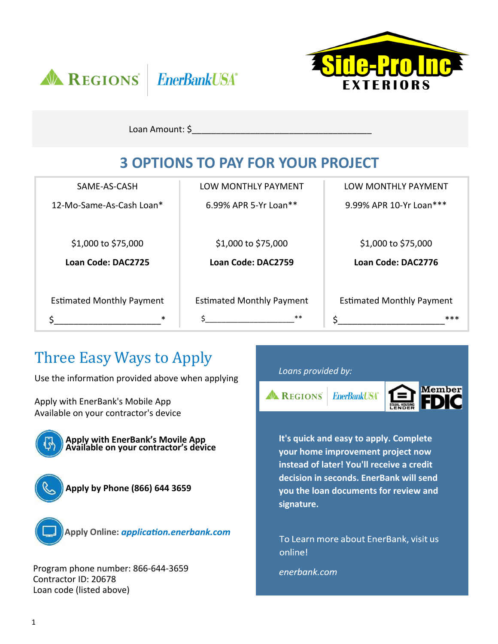



Loan Amount: \$

## **3 OPTIONS TO PAY FOR YOUR PROJECT**

| SAME-AS-CASH                     | LOW MONTHLY PAYMENT              | LOW MONTHLY PAYMENT              |
|----------------------------------|----------------------------------|----------------------------------|
| 12-Mo-Same-As-Cash Loan*         | 6.99% APR 5-Yr Loan**            | 9.99% APR 10-Yr Loan***          |
|                                  |                                  |                                  |
| \$1,000 to \$75,000              | \$1,000 to \$75,000              | \$1,000 to \$75,000              |
| Loan Code: DAC2725               | Loan Code: DAC2759               | Loan Code: DAC2776               |
|                                  |                                  |                                  |
| <b>Estimated Monthly Payment</b> | <b>Estimated Monthly Payment</b> | <b>Estimated Monthly Payment</b> |
| $\ast$                           | $***$                            | ***<br>Ś.                        |

## Three Easy Ways to Apply

Use the information provided above when applying

Apply with EnerBank's Mobile App Available on your contractor's device



**Apply with EnerBank's Movile App Available on your contractor's device** 





**Apply Online:** 

Program phone number: 866‐644‐3659 Contractor ID: 20678 Loan code (listed above)

### *Loans provided by:*



**It's quick and easy to apply. Complete your home improvement project now instead of later! You'll receive a credit decision in seconds. EnerBank will send you the loan documents for review and signature.**

To Learn more about EnerBank, visit us online!

enerbank.com